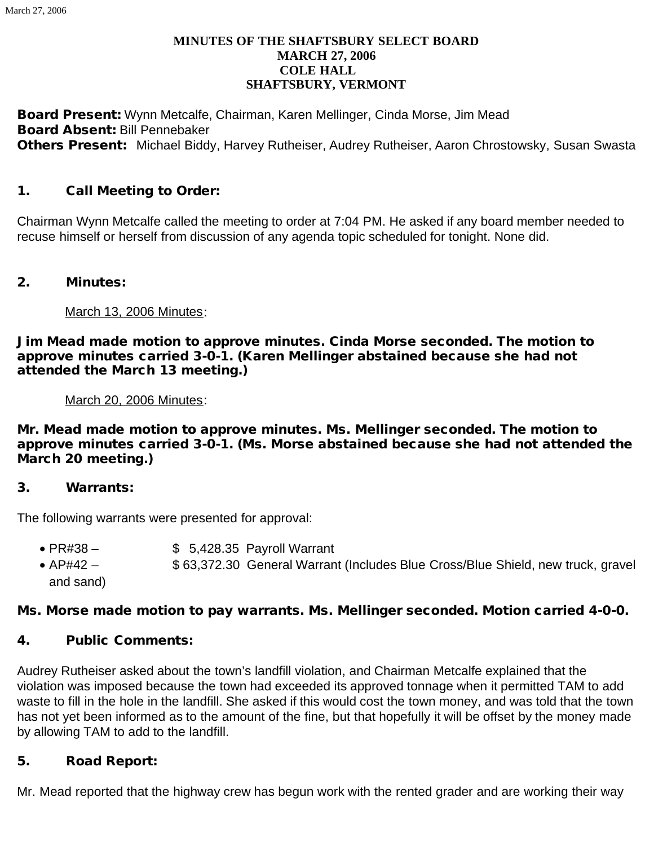#### **MINUTES OF THE SHAFTSBURY SELECT BOARD MARCH 27, 2006 COLE HALL SHAFTSBURY, VERMONT**

Board Present: Wynn Metcalfe, Chairman, Karen Mellinger, Cinda Morse, Jim Mead Board Absent: Bill Pennebaker **Others Present:** Michael Biddy, Harvey Rutheiser, Audrey Rutheiser, Aaron Chrostowsky, Susan Swasta

## 1. Call Meeting to Order:

Chairman Wynn Metcalfe called the meeting to order at 7:04 PM. He asked if any board member needed to recuse himself or herself from discussion of any agenda topic scheduled for tonight. None did.

#### 2. Minutes:

March 13, 2006 Minutes:

Jim Mead made motion to approve minutes. Cinda Morse seconded. The motion to approve minutes carried 3-0-1. (Karen Mellinger abstained because she had not attended the March 13 meeting.)

March 20, 2006 Minutes:

Mr. Mead made motion to approve minutes. Ms. Mellinger seconded. The motion to approve minutes carried 3-0-1. (Ms. Morse abstained because she had not attended the March 20 meeting.)

#### 3. Warrants:

The following warrants were presented for approval:

- $\bullet$  PR#38  $\bullet$  \$ 5,428.35 Payroll Warrant
- · AP#42 \$ 63,372.30 General Warrant (Includes Blue Cross/Blue Shield, new truck, gravel and sand)

## Ms. Morse made motion to pay warrants. Ms. Mellinger seconded. Motion carried 4-0-0.

## 4. Public Comments:

Audrey Rutheiser asked about the town's landfill violation, and Chairman Metcalfe explained that the violation was imposed because the town had exceeded its approved tonnage when it permitted TAM to add waste to fill in the hole in the landfill. She asked if this would cost the town money, and was told that the town has not yet been informed as to the amount of the fine, but that hopefully it will be offset by the money made by allowing TAM to add to the landfill.

## 5. Road Report:

Mr. Mead reported that the highway crew has begun work with the rented grader and are working their way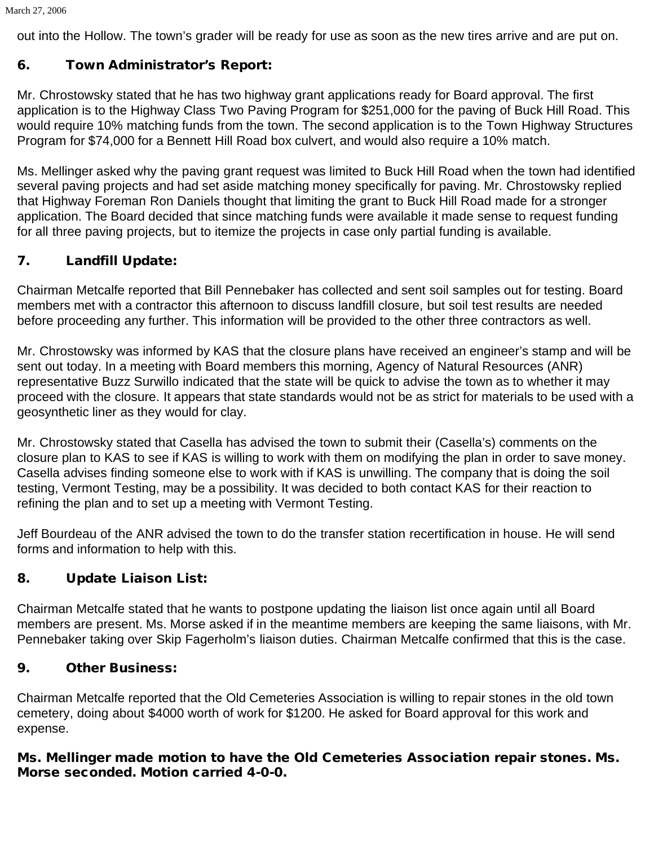out into the Hollow. The town's grader will be ready for use as soon as the new tires arrive and are put on.

# 6. Town Administrator's Report:

Mr. Chrostowsky stated that he has two highway grant applications ready for Board approval. The first application is to the Highway Class Two Paving Program for \$251,000 for the paving of Buck Hill Road. This would require 10% matching funds from the town. The second application is to the Town Highway Structures Program for \$74,000 for a Bennett Hill Road box culvert, and would also require a 10% match.

Ms. Mellinger asked why the paving grant request was limited to Buck Hill Road when the town had identified several paving projects and had set aside matching money specifically for paving. Mr. Chrostowsky replied that Highway Foreman Ron Daniels thought that limiting the grant to Buck Hill Road made for a stronger application. The Board decided that since matching funds were available it made sense to request funding for all three paving projects, but to itemize the projects in case only partial funding is available.

# 7. Landfill Update:

Chairman Metcalfe reported that Bill Pennebaker has collected and sent soil samples out for testing. Board members met with a contractor this afternoon to discuss landfill closure, but soil test results are needed before proceeding any further. This information will be provided to the other three contractors as well.

Mr. Chrostowsky was informed by KAS that the closure plans have received an engineer's stamp and will be sent out today. In a meeting with Board members this morning, Agency of Natural Resources (ANR) representative Buzz Surwillo indicated that the state will be quick to advise the town as to whether it may proceed with the closure. It appears that state standards would not be as strict for materials to be used with a geosynthetic liner as they would for clay.

Mr. Chrostowsky stated that Casella has advised the town to submit their (Casella's) comments on the closure plan to KAS to see if KAS is willing to work with them on modifying the plan in order to save money. Casella advises finding someone else to work with if KAS is unwilling. The company that is doing the soil testing, Vermont Testing, may be a possibility. It was decided to both contact KAS for their reaction to refining the plan and to set up a meeting with Vermont Testing.

Jeff Bourdeau of the ANR advised the town to do the transfer station recertification in house. He will send forms and information to help with this.

# 8. Update Liaison List:

Chairman Metcalfe stated that he wants to postpone updating the liaison list once again until all Board members are present. Ms. Morse asked if in the meantime members are keeping the same liaisons, with Mr. Pennebaker taking over Skip Fagerholm's liaison duties. Chairman Metcalfe confirmed that this is the case.

# 9. Other Business:

Chairman Metcalfe reported that the Old Cemeteries Association is willing to repair stones in the old town cemetery, doing about \$4000 worth of work for \$1200. He asked for Board approval for this work and expense.

## Ms. Mellinger made motion to have the Old Cemeteries Association repair stones. Ms. Morse seconded. Motion carried 4-0-0.